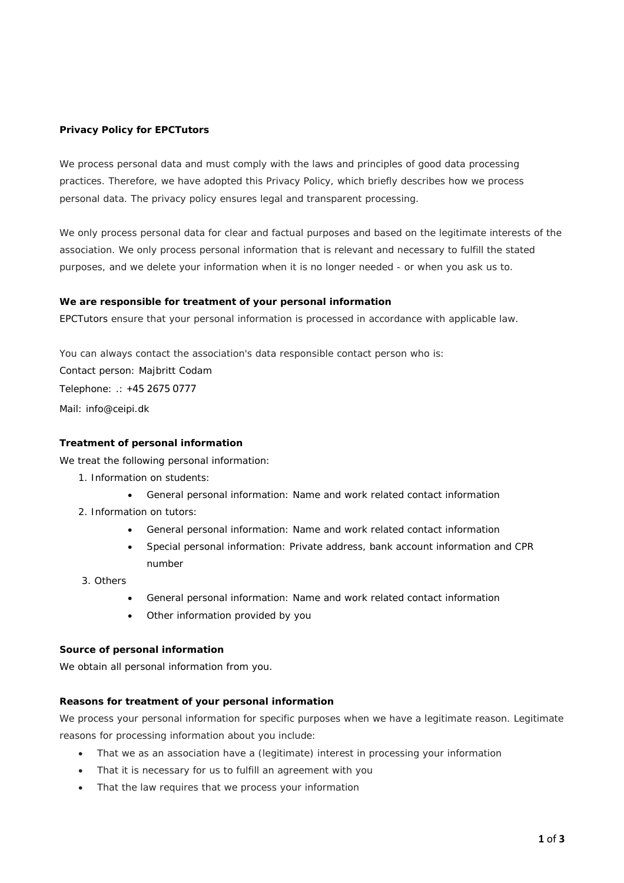### **Privacy Policy for EPCTutors**

We process personal data and must comply with the laws and principles of good data processing practices. Therefore, we have adopted this Privacy Policy, which briefly describes how we process personal data. The privacy policy ensures legal and transparent processing.

We only process personal data for clear and factual purposes and based on the legitimate interests of the association. We only process personal information that is relevant and necessary to fulfill the stated purposes, and we delete your information when it is no longer needed - or when you ask us to.

#### **We are responsible for treatment of your personal information**

EPCTutors ensure that your personal information is processed in accordance with applicable law.

You can always contact the association's data responsible contact person who is: Contact person: Majbritt Codam Telephone: .: +45 2675 0777 Mail: info@ceipi.dk

#### **Treatment of personal information**

We treat the following personal information:

- 1. Information on students:
	- General personal information: Name and work related contact information
- 2. Information on tutors:
	- General personal information: Name and work related contact information
	- Special personal information: Private address, bank account information and CPR number
- 3. Others
	- General personal information: Name and work related contact information
	- Other information provided by you

#### **Source of personal information**

We obtain all personal information from you.

#### **Reasons for treatment of your personal information**

We process your personal information for specific purposes when we have a legitimate reason. Legitimate reasons for processing information about you include:

- That we as an association have a (legitimate) interest in processing your information
- That it is necessary for us to fulfill an agreement with you
- That the law requires that we process your information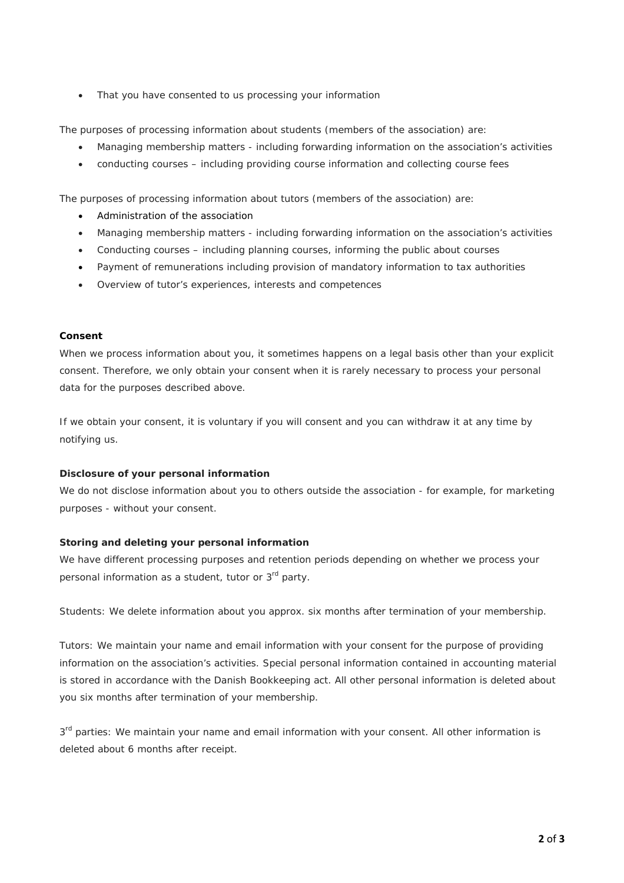• That you have consented to us processing your information

The purposes of processing information about students (members of the association) are:

- Managing membership matters including forwarding information on the association's activities
- conducting courses including providing course information and collecting course fees

The purposes of processing information about tutors (members of the association) are:

- Administration of the association
- Managing membership matters including forwarding information on the association's activities
- Conducting courses including planning courses, informing the public about courses
- Payment of remunerations including provision of mandatory information to tax authorities
- Overview of tutor's experiences, interests and competences

#### **Consent**

When we process information about you, it sometimes happens on a legal basis other than your explicit consent. Therefore, we only obtain your consent when it is rarely necessary to process your personal data for the purposes described above.

If we obtain your consent, it is voluntary if you will consent and you can withdraw it at any time by notifying us.

#### **Disclosure of your personal information**

We do not disclose information about you to others outside the association - for example, for marketing purposes - without your consent.

#### **Storing and deleting your personal information**

We have different processing purposes and retention periods depending on whether we process your personal information as a student, tutor or 3<sup>rd</sup> party.

Students: We delete information about you approx. six months after termination of your membership.

Tutors: We maintain your name and email information with your consent for the purpose of providing information on the association's activities. Special personal information contained in accounting material is stored in accordance with the Danish Bookkeeping act. All other personal information is deleted about you six months after termination of your membership.

 $3<sup>rd</sup>$  parties: We maintain your name and email information with your consent. All other information is deleted about 6 months after receipt.